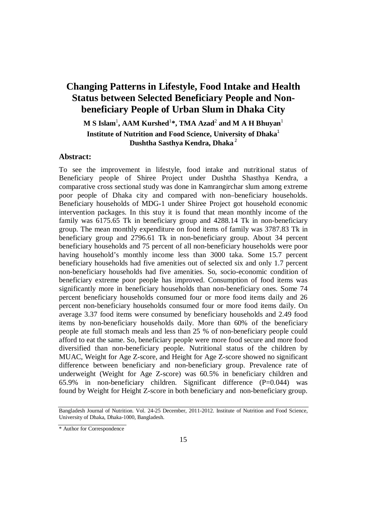# **Changing Patterns in Lifestyle, Food Intake and Health Status between Selected Beneficiary People and Nonbeneficiary People of Urban Slum in Dhaka City**

**M S Islam**<sup>1</sup> **, AAM Kurshed**<sup>1</sup> **\*, TMA Azad**<sup>2</sup> **and M A H Bhuyan**<sup>1</sup> **Institute of Nutrition and Food Science, University of Dhaka**<sup>1</sup> **Dushtha Sasthya Kendra, Dhaka** <sup>2</sup>

### **Abstract:**

To see the improvement in lifestyle, food intake and nutritional status of Beneficiary people of Shiree Project under Dushtha Shasthya Kendra, a comparative cross sectional study was done in Kamrangirchar slum among extreme poor people of Dhaka city and compared with non–beneficiary households. Beneficiary households of MDG-1 under Shiree Project got household economic intervention packages. In this stuy it is found that mean monthly income of the family was 6175.65 Tk in beneficiary group and 4288.14 Tk in non-beneficiary group. The mean monthly expenditure on food items of family was 3787.83 Tk in beneficiary group and 2796.61 Tk in non-beneficiary group. About 34 percent beneficiary households and 75 percent of all non-beneficiary households were poor having household's monthly income less than 3000 taka. Some 15.7 percent beneficiary households had five amenities out of selected six and only 1.7 percent non-beneficiary households had five amenities. So, socio-economic condition of beneficiary extreme poor people has improved. Consumption of food items was significantly more in beneficiary households than non-beneficiary ones. Some 74 percent beneficiary households consumed four or more food items daily and 26 percent non-beneficiary households consumed four or more food items daily. On average 3.37 food items were consumed by beneficiary households and 2.49 food items by non-beneficiary households daily. More than 60% of the beneficiary people ate full stomach meals and less than 25 % of non-beneficiary people could afford to eat the same. So, beneficiary people were more food secure and more food diversified than non-beneficiary people. Nutritional status of the children by MUAC, Weight for Age Z-score, and Height for Age Z-score showed no significant difference between beneficiary and non-beneficiary group. Prevalence rate of underweight (Weight for Age Z-score) was 60.5% in beneficiary children and 65.9% in non-beneficiary children. Significant difference (P=0.044) was found by Weight for Height Z-score in both beneficiary and non-beneficiary group.

Bangladesh Journal of Nutrition. Vol. 24-25 December, 2011-2012. Institute of Nutrition and Food Science, University of Dhaka, Dhaka-1000, Bangladesh.

<sup>\*</sup> Author for Correspondence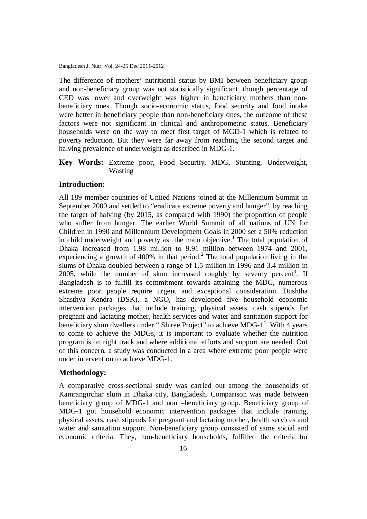The difference of mothers' nutritional status by BMI between beneficiary group and non-beneficiary group was not statistically significant, though percentage of CED was lower and overweight was higher in beneficiary mothers than nonbeneficiary ones. Though socio-economic status, food security and food intake were better in beneficiary people than non-beneficiary ones, the outcome of these factors were not significant in clinical and anthropometric status. Beneficiary households were on the way to meet first target of MGD-1 which is related to poverty reduction. But they were far away from reaching the second target and halving prevalence of underweight as described in MDG-1.

**Key Words:** Extreme poor, Food Security, MDG, Stunting, Underweight, Wasting

### **Introduction:**

All 189 member countries of United Nations joined at the Millennium Summit in September 2000 and settled to "eradicate extreme poverty and hunger", by reaching the target of halving (by 2015, as compared with 1990) the proportion of people who suffer from hunger. The earlier World Summit of all nations of UN for Children in 1990 and Millennium Development Goals in 2000 set a 50% reduction in child underweight and poverty as the main objective.<sup>1</sup> The total population of Dhaka increased from 1.98 million to 9.91 million between 1974 and 2001, experiencing a growth of 400% in that period.<sup>2</sup> The total population living in the slums of Dhaka doubled between a range of 1.5 million in 1996 and 3.4 million in 2005, while the number of slum increased roughly by seventy percent<sup>3</sup>. If Bangladesh is to fulfill its commitment towards attaining the MDG, numerous extreme poor people require urgent and exceptional consideration. Dushtha Shasthya Kendra (DSK), a NGO, has developed five household economic intervention packages that include training, physical assets, cash stipends for pregnant and lactating mother, health services and water and sanitation support for beneficiary slum dwellers under "Shiree Project" to achieve MDG-1<sup>4</sup>. With 4 years to come to achieve the MDGs, it is important to evaluate whether the nutrition program is on right track and where additional efforts and support are needed. Out of this concern, a study was conducted in a area where extreme poor people were under intervention to achieve MDG-1.

#### **Methodology:**

A comparative cross-sectional study was carried out among the households of Kamrangirchar slum in Dhaka city, Bangladesh. Comparison was made between beneficiary group of MDG-1 and non –beneficiary group. Beneficiary group of MDG-1 got household economic intervention packages that include training, physical assets, cash stipends for pregnant and lactating mother, health services and water and sanitation support. Non-beneficiary group consisted of same social and economic criteria. They, non-beneficiary households, fulfilled the criteria for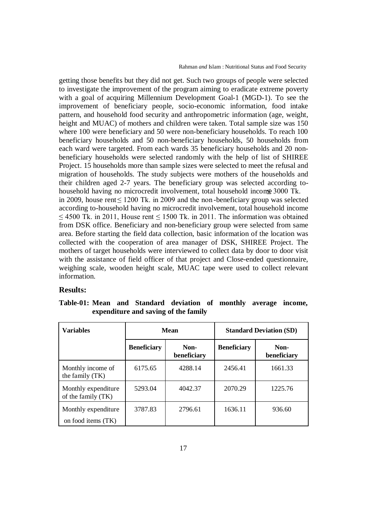Rahman *and* Islam : Nutritional Status and Food Security

getting those benefits but they did not get. Such two groups of people were selected to investigate the improvement of the program aiming to eradicate extreme poverty with a goal of acquiring Millennium Development Goal-1 (MGD-1). To see the improvement of beneficiary people, socio-economic information, food intake pattern, and household food security and anthropometric information (age, weight, height and MUAC) of mothers and children were taken. Total sample size was 150 where 100 were beneficiary and 50 were non-beneficiary households. To reach 100 beneficiary households and 50 non-beneficiary households, 50 households from each ward were targeted. From each wards 35 beneficiary households and 20 nonbeneficiary households were selected randomly with the help of list of SHIREE Project. 15 households more than sample sizes were selected to meet the refusal and migration of households. The study subjects were mothers of the households and their children aged 2-7 years. The beneficiary group was selected according tohousehold having no microcredit involvement, total household incom€ 3000 Tk. in 2009, house rent ≤ 1200 Tk. in 2009 and the non -beneficiary group was selected according to-household having no microcredit involvement, total household income  $\leq$  4500 Tk. in 2011, House rent  $\leq$  1500 Tk. in 2011. The information was obtained from DSK office. Beneficiary and non-beneficiary group were selected from same area. Before starting the field data collection, basic information of the location was collected with the cooperation of area manager of DSK, SHIREE Project. The mothers of target households were interviewed to collect data by door to door visit with the assistance of field officer of that project and Close-ended questionnaire, weighing scale, wooden height scale, MUAC tape were used to collect relevant information.

### **Results:**

|  |  | Table-01: Mean and Standard deviation of monthly average income, |  |  |
|--|--|------------------------------------------------------------------|--|--|
|  |  | expenditure and saving of the family                             |  |  |

| <b>Variables</b>                            | Mean               |                     | <b>Standard Deviation (SD)</b> |                     |  |
|---------------------------------------------|--------------------|---------------------|--------------------------------|---------------------|--|
|                                             | <b>Beneficiary</b> | Non-<br>beneficiary | <b>Beneficiary</b>             | Non-<br>beneficiary |  |
| Monthly income of<br>the family (TK)        | 6175.65            | 4288.14             | 2456.41                        | 1661.33             |  |
| Monthly expenditure<br>of the family $(TK)$ | 5293.04            | 4042.37             | 2070.29                        | 1225.76             |  |
| Monthly expenditure<br>on food items (TK)   | 3787.83            | 2796.61             | 1636.11                        | 936.60              |  |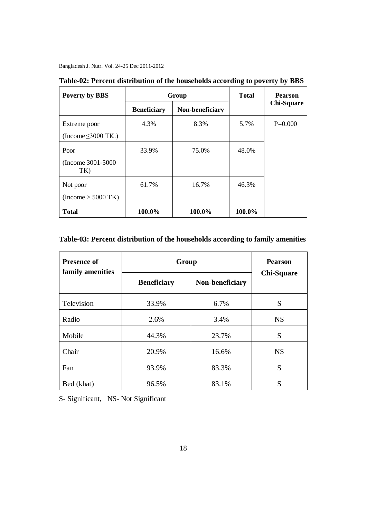| <b>Poverty by BBS</b>     |                    | Group           | <b>Total</b> | <b>Pearson</b>    |
|---------------------------|--------------------|-----------------|--------------|-------------------|
|                           | <b>Beneficiary</b> | Non-beneficiary |              | <b>Chi-Square</b> |
| Extreme poor              | 4.3%               | 8.3%            | 5.7%         | $P=0.000$         |
| (Income $\leq$ 3000 TK.)  |                    |                 |              |                   |
| Poor                      | 33.9%              | 75.0%           | 48.0%        |                   |
| (Income 3001-5000)<br>TK) |                    |                 |              |                   |
| Not poor                  | 61.7%              | 16.7%           | 46.3%        |                   |
| $(Income > 5000$ TK)      |                    |                 |              |                   |
| <b>Total</b>              | 100.0%             | 100.0%          | 100.0%       |                   |

**Table-02: Percent distribution of the households according to poverty by BBS**

### **Table-03: Percent distribution of the households according to family amenities**

| <b>Presence of</b><br>family amenities | Group                                 | <b>Pearson</b> |                   |  |
|----------------------------------------|---------------------------------------|----------------|-------------------|--|
|                                        | <b>Beneficiary</b><br>Non-beneficiary |                | <b>Chi-Square</b> |  |
| Television                             | 33.9%                                 | 6.7%           | S                 |  |
| Radio                                  | 2.6%                                  | 3.4%           | <b>NS</b>         |  |
| Mobile                                 | 44.3%<br>23.7%                        |                | S                 |  |
| Chair                                  | 20.9%                                 | 16.6%          | <b>NS</b>         |  |
| Fan                                    | 93.9%                                 | 83.3%          | S                 |  |
| Bed (khat)                             | 96.5%                                 | 83.1%          | S                 |  |

S- Significant, NS- Not Significant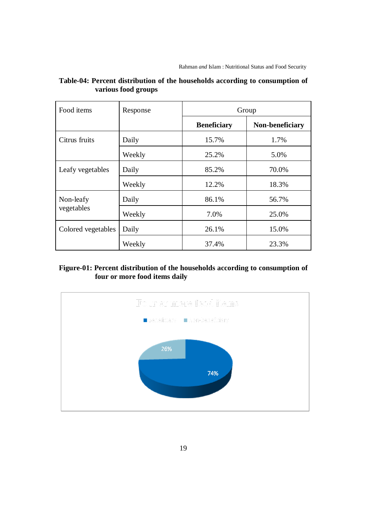| Food items         | Response | Group              |                 |  |
|--------------------|----------|--------------------|-----------------|--|
|                    |          | <b>Beneficiary</b> | Non-beneficiary |  |
| Citrus fruits      | Daily    | 15.7%              | 1.7%            |  |
|                    | Weekly   | 25.2%              | 5.0%            |  |
| Leafy vegetables   | Daily    | 85.2%              | 70.0%           |  |
|                    | Weekly   | 12.2%              | 18.3%           |  |
| Non-leafy          | Daily    | 86.1%              | 56.7%           |  |
| vegetables         | Weekly   | 7.0%               | 25.0%           |  |
| Colored vegetables | Daily    | 26.1%              | 15.0%           |  |
|                    | Weekly   | 37.4%              | 23.3%           |  |

## **Table-04: Percent distribution of the households according to consumption of various food groups**

## **Figure-01: Percent distribution of the households according to consumption of four or more food items daily**

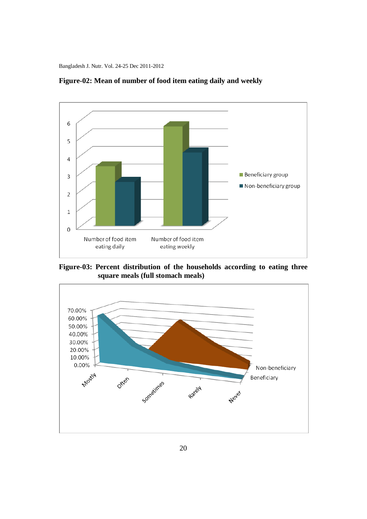

**Figure-02: Mean of number of food item eating daily and weekly**

**Figure-03: Percent distribution of the households according to eating three square meals (full stomach meals)**

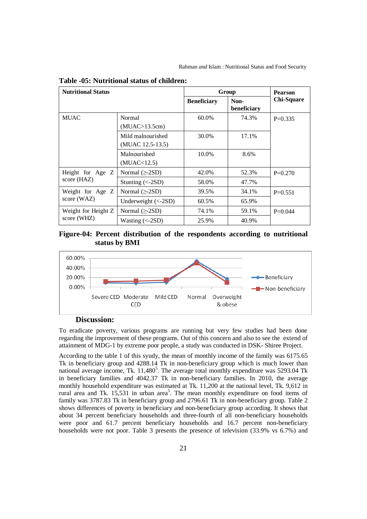| <b>Nutritional Status</b>          |                                     | Group              | <b>Pearson</b>      |                   |
|------------------------------------|-------------------------------------|--------------------|---------------------|-------------------|
|                                    |                                     | <b>Beneficiary</b> | Non-<br>beneficiary | <b>Chi-Square</b> |
| <b>MUAC</b>                        | Normal                              | 60.0%              | 74.3%               | $P=0.335$         |
|                                    | (MUAC>13.5cm)                       |                    |                     |                   |
|                                    | Mild malnourished                   | 30.0%              | 17.1%               |                   |
|                                    | (MUAC 12.5-13.5)                    |                    |                     |                   |
|                                    | Malnourished                        | 10.0%              | 8.6%                |                   |
|                                    | (MUAC < 12.5)                       |                    |                     |                   |
| Height for Age Z<br>score (HAZ)    | Normal $(\geq 2SD)$                 | 42.0%              | 52.3%               | $P=0.270$         |
|                                    | Stunting $(<2SD$ )                  | 58.0%              | 47.7%               |                   |
| Weight for Age Z<br>score (WAZ)    | Normal $(\geq 2SD)$                 | 39.5%              | 34.1%               | $P=0.551$         |
|                                    | Underweight $(<-2SD)$               | 60.5%              | 65.9%               |                   |
| Weight for Height Z<br>score (WHZ) | Normal $(\geq$ -2SD)                | 74.1%              | 59.1%               | $P=0.044$         |
|                                    | Wasting $\left(<\text{-2SD}\right)$ | 25.9%              | 40.9%               |                   |

**Table -05: Nutritional status of children:**





### **Discussion:**

To eradicate poverty, various programs are running but very few studies had been done regarding the improvement of these programs. Out of this concern and also to see the extend of attainment of MDG-1 by extreme poor people, a study was conducted in DSK- Shiree Project.

According to the table 1 of this syudy, the mean of monthly income of the family was 6175.65 Tk in beneficiary group and 4288.14 Tk in non-beneficiary group which is much lower than national average income, Tk. 11,480<sup>5</sup>. The average total monthly expenditure was 5293.04 Tk in beneficiary families and 4042.37 Tk in non-beneficiary families. In 2010, the average monthly household expenditure was estimated at Tk. 11,200 at the national level, Tk. 9,612 in rural area and Tk.  $15,531$  in urban area<sup>5</sup>. The mean monthly expenditure on food items of family was 3787.83 Tk in beneficiary group and 2796.61 Tk in non-beneficiary group. Table 2 shows differences of poverty in beneficiary and non-beneficiary group according. It shows that about 34 percent beneficiary households and three-fourth of all non-beneficiary households were poor and 61.7 percent beneficiary households and 16.7 percent non-beneficiary households were not poor. Table 3 presents the presence of television (33.9% vs 6.7%) and